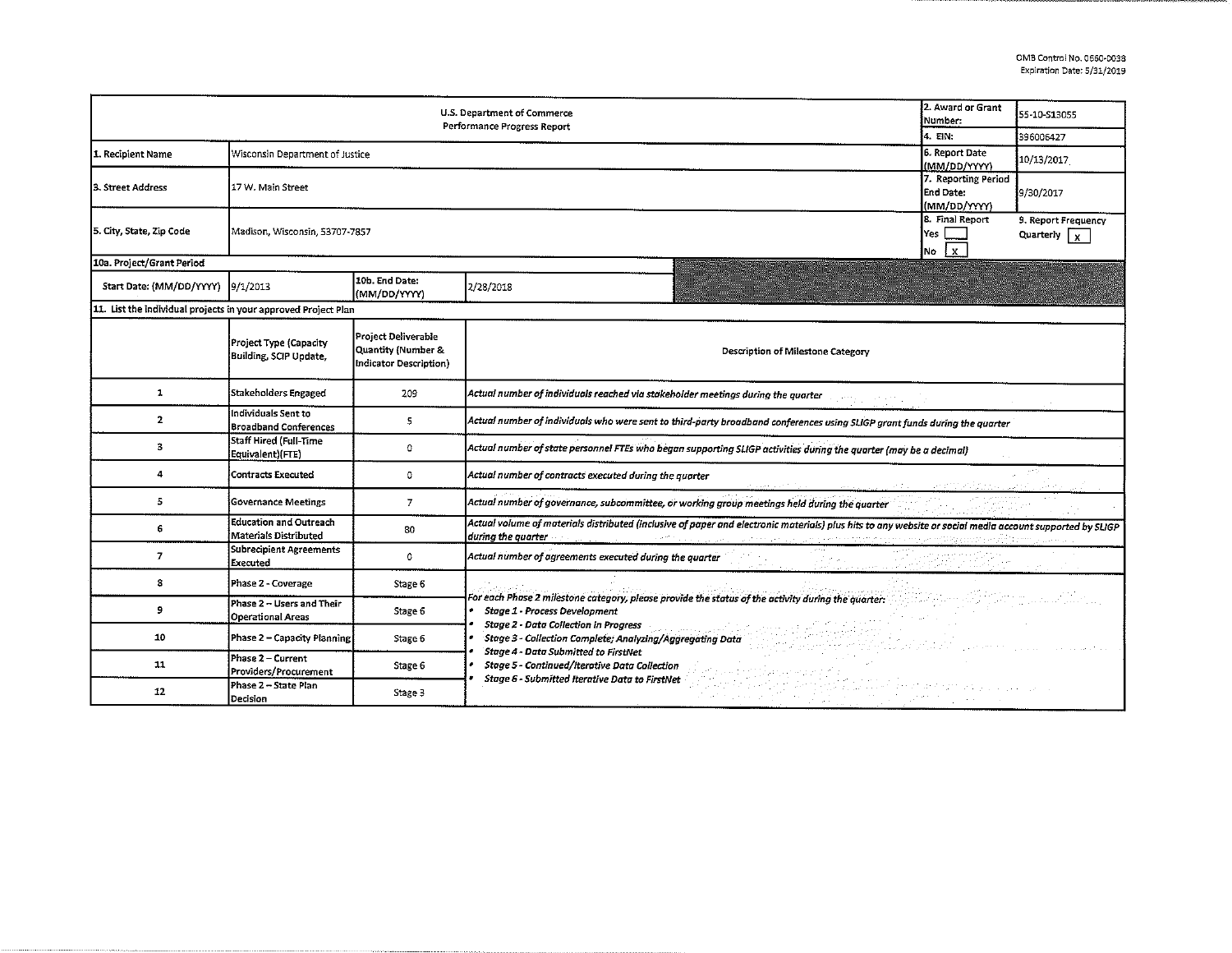|                                                                |                                                               |                                                                     |                                                                                                                                                                                                                                                                                   | 2. Award or Grant |              |  |  |  |  |
|----------------------------------------------------------------|---------------------------------------------------------------|---------------------------------------------------------------------|-----------------------------------------------------------------------------------------------------------------------------------------------------------------------------------------------------------------------------------------------------------------------------------|-------------------|--------------|--|--|--|--|
| U.S. Department of Commerce<br>Performance Progress Report     |                                                               |                                                                     |                                                                                                                                                                                                                                                                                   |                   | 55-10-513055 |  |  |  |  |
|                                                                |                                                               |                                                                     |                                                                                                                                                                                                                                                                                   | 4. EIN:           | 396006427    |  |  |  |  |
| 1. Recipient Name                                              | Wisconsin Department of Justice                               | 6. Report Date<br>(MM/DD/YYYY)                                      | 10/13/2017                                                                                                                                                                                                                                                                        |                   |              |  |  |  |  |
| 3. Street Address                                              | 17 W. Main Street                                             | 7. Reporting Period<br>End Date:<br>(MM/DD/YYYY)                    | 9/30/2017                                                                                                                                                                                                                                                                         |                   |              |  |  |  |  |
| 5. City, State, Zip Code                                       | Madison, Wisconsin, 53707-7857                                | 8. Final Report<br>Yes  <br>l x l<br>No                             | 9. Report Frequency<br>Quarterly $\sqrt{x}$                                                                                                                                                                                                                                       |                   |              |  |  |  |  |
| 10a. Project/Grant Period                                      |                                                               |                                                                     |                                                                                                                                                                                                                                                                                   |                   |              |  |  |  |  |
| Start Date: (MM/DD/YYYY) 9/1/2013                              |                                                               | 10b. End Date:<br>(MM/DD/YYYY)                                      | 2/28/2018                                                                                                                                                                                                                                                                         |                   |              |  |  |  |  |
| 11. List the individual projects in your approved Project Plan |                                                               |                                                                     |                                                                                                                                                                                                                                                                                   |                   |              |  |  |  |  |
|                                                                | Project Type (Capacity<br>Building, SCIP Update,              | Project Deliverable<br>Quantity (Number &<br>Indicator Description) | Description of Milestone Category                                                                                                                                                                                                                                                 |                   |              |  |  |  |  |
| 1                                                              | Stakeholders Engaged                                          | 209                                                                 | Actual number of individuals reached via stakeholder meetings during the quarter                                                                                                                                                                                                  |                   |              |  |  |  |  |
| $\overline{2}$                                                 | Individuals Sent to<br><b>Broadband Conferences</b>           | 5                                                                   | Actual number of individuals who were sent to third-party broadband conferences using SLIGP grant funds during the quarter                                                                                                                                                        |                   |              |  |  |  |  |
| 3                                                              | Staff Hired (Full-Time<br>Equivalent)(FTE)                    | $\Omega$                                                            | Actual number of state personnel FTEs who began supporting SLIGP activities during the quarter (may be a decimal)                                                                                                                                                                 |                   |              |  |  |  |  |
| 4                                                              | <b>Contracts Executed</b>                                     | $\mathbf 0$                                                         | Actual number of contracts executed during the quarter                                                                                                                                                                                                                            |                   |              |  |  |  |  |
| 5                                                              | <b>Governance Meetings</b>                                    | $\overline{I}$                                                      | Actual number of governance, subcommittee, or working group meetings held during the quarter                                                                                                                                                                                      |                   |              |  |  |  |  |
| 6                                                              | <b>Education and Outreach</b><br><b>Materials Distributed</b> | 80                                                                  | Actual volume of materials distributed (inclusive of paper and electronic materials) plus hits to any website or social media account supported by SLIGP<br>during the quarter website the company of the company of the company and the content company of the company of the co |                   |              |  |  |  |  |
| $\overline{z}$                                                 | Subrecipient Agreements<br>Executed                           | $\circ$                                                             | Actual number of agreements executed during the quarter                                                                                                                                                                                                                           |                   |              |  |  |  |  |
| 8                                                              | Phase 2 - Coverage                                            | Stage 6                                                             |                                                                                                                                                                                                                                                                                   |                   |              |  |  |  |  |
| 9                                                              | Phase 2 - Users and Their<br><b>Operational Areas</b>         | Stage 6                                                             | For each Phase 2 milestone category, please provide the status of the activity during the quarter: with a status of the status of the status of the status of the status of the status of the status of the status of the stat<br><b>Stage 1 - Process Development</b>            |                   |              |  |  |  |  |
| 10                                                             | Phase 2 - Capacity Planning                                   | Stage 6                                                             | <b>Stage 2 - Data Collection in Progress</b><br>Stage 3 - Collection Complete; Analyzing/Aggregating Data<br><b>Stage 4 - Data Submitted to FirstNet</b><br><b>Stage 5 - Continued/Iterative Data Collection</b>                                                                  |                   |              |  |  |  |  |
| 11                                                             | Phase 2 - Current<br>Providers/Procurement                    | Stage 6                                                             |                                                                                                                                                                                                                                                                                   |                   |              |  |  |  |  |
| 12                                                             | Phase 2 - State Plan<br>Decision                              | Stage 3                                                             | Stage 6 - Submitted Iterative Data to FirstNet<br>di la suert                                                                                                                                                                                                                     |                   |              |  |  |  |  |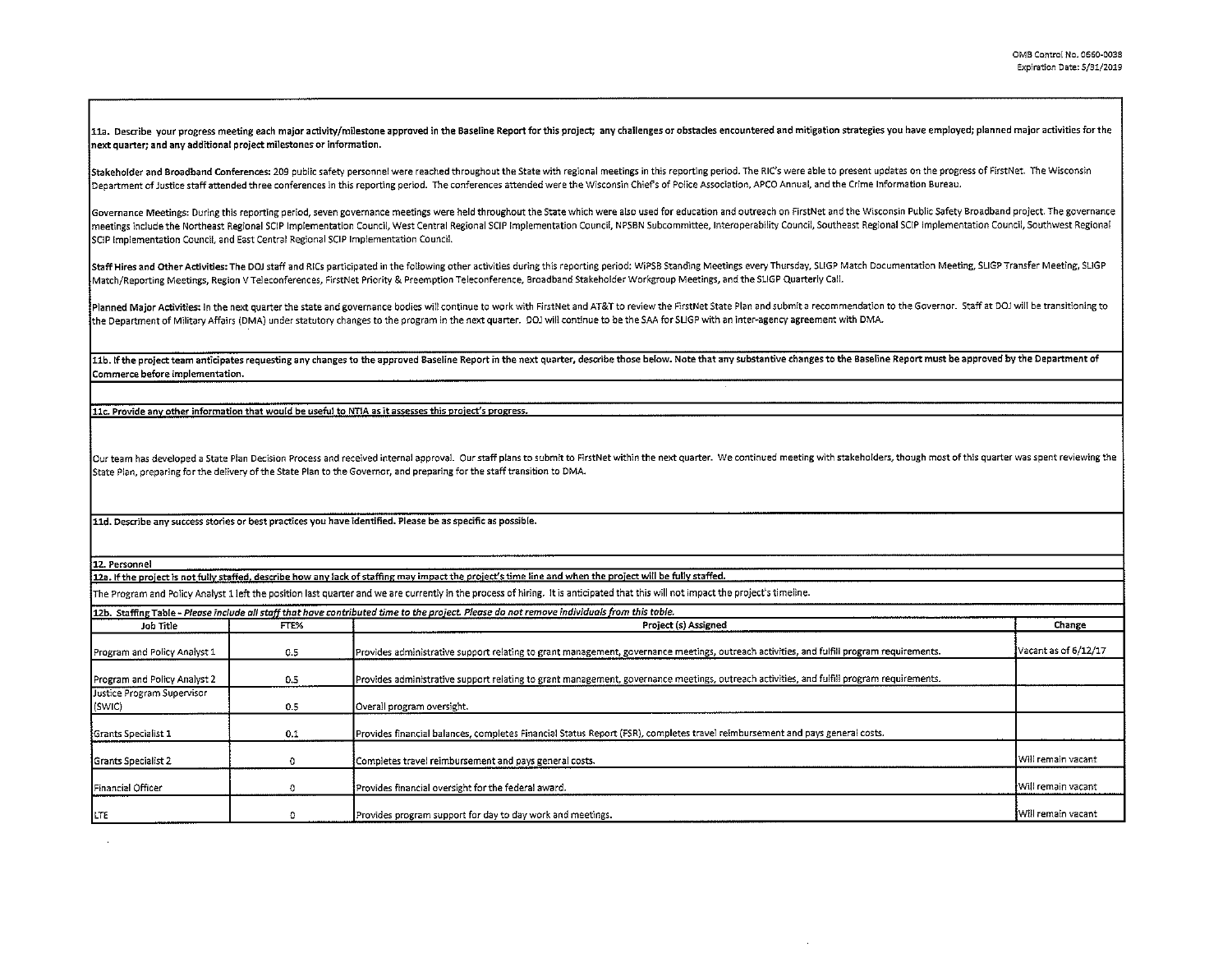11a. Describe your progress meeting each maior activity/milestone approved in the Baseline Report for this project; any challenges or obstacles encountered and mitigation strategies you have employed; planned major activit next quarter; and any additional project milestones or information.

Stakeholder and Broadband Conferences: 209 public safety personnel were reached throughout the State with regional meetings in this reporting period. The RIC's were able to present updates on the progress of FirstNet. The Department of Justice staff attended three conferences in this reporting period. The conferences attended were the Wisconsin Chiefs of Police Association, APCO Annual, and the Crime Information Bureau.

Governance Meetings: During this reporting period, seven governance meetings were held throughout the State which were also used for education and outreach on FirstNet and the Wisconsin Public Safety Broadband project. The meetings include the Northeast Regional SCIP Implementation Council, West Central Regional SCIP Implementation Council, NPSBN Subcommittee, Interoperability Council, Southeast Regional SCIP Implementation Council, Southwes SCIP Implementation Council, and East Central Regional SCIP Implementation Council.

Staff Hires and Other Activities: The DOJ staff and RICs participated in the following other activities during this reporting period: WiPSB Standing Meetings every Thursday, SLIGP Match Documentation Meeting, SLIGP Transfe Match/Reporting Meetings, Region V Teleconferences, FirstNet Priority & Preemption Teleconference, Broadband Stakeholder Workgroup Meetings, and the SLIGP Quarterly Call.

Planned Major Activities: In the next quarter the state and governance bodies will continue to work with FirstNet and AT&T to review the FirstNet State Plan and submit a recommendation to the Governor. Staff at DOJ will be the Department of Military Affairs (DMA) under statutory changes to the program in the next quarter. DOJ will continue to be the SAA for SUGP with an inter~agency agreement with DMA.

11b. If the project team anticipates requesting any changes to the approved Baseline Report in the next quarter, describe those below. Note that any substantive changes to the Baseline Report must be approved by the Depart Commerce before implementation.

11c. Provide any other information that would be useful to NTIA as it assesses this project's progress.

Our team has developed a State Plan Decision Process and received internal approval. Our staff plans to submit to FirstNet within the next quarter. We continued meeting with stakeholders, though most of this quarter was sp State Plan, preparing for the delivery of the State Plan to the Governor, and preparing for the staff transition to OMA.

11d. Describe any success stories or best practices you have identified. Please be as specific as possible.

12. Personnel

12a. If the project is not fully staffed, describe how any lack of staffing may impact the project's time line and when the project will be fully staffed.

The Program and Policy Analyst 1 left the position last quarter and we are currently in the process of hiring. It is anticipated that this will not impact the project's timeline.

|                              |      | 12b. Staffing Table - Please include all staff that have contributed time to the project. Please do not remove individuals from this table. |                      |
|------------------------------|------|---------------------------------------------------------------------------------------------------------------------------------------------|----------------------|
| Job Title                    | FTE% | Project (s) Assigned                                                                                                                        | Change               |
| Program and Policy Analyst 1 | 0.5  | Provides administrative support relating to grant management, governance meetings, outreach activities, and fulfill program requirements.   | Vacant as of 6/12/17 |
| Program and Policy Analyst 2 | 0.5  | Provides administrative support relating to grant management, governance meetings, outreach activities, and fulfill program requirements.   |                      |
| Justice Program Supervisor   |      |                                                                                                                                             |                      |
| $ $ (SWIC)                   | 0.5  | Overall program oversight.                                                                                                                  |                      |
| <b>Grants Specialist 1</b>   | 0.1  | Provides financial balances, completes Financial Status Report (FSR), completes travel reimbursement and pays general costs.                |                      |
| <b>I</b> Grants Specialist 2 |      | Completes travel reimbursement and pays general costs.                                                                                      | Will remain vacant   |
| Financial Officer            |      | Provides financial oversight for the federal award.                                                                                         | Will remain vacant   |
| LTE                          |      | Provides program support for day to day work and meetings.                                                                                  | lWill remain vacant  |